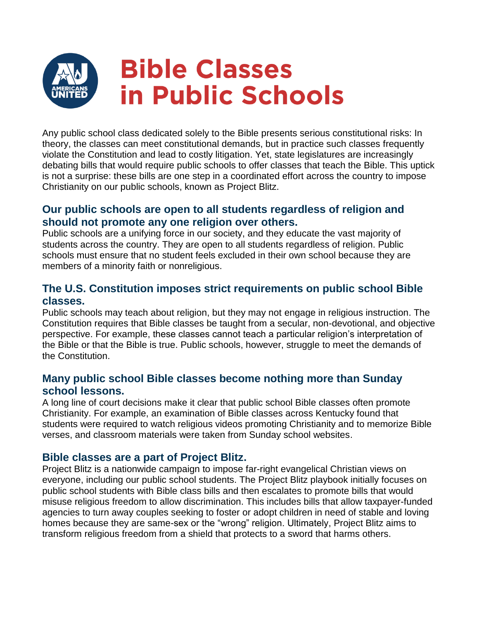

Any public school class dedicated solely to the Bible presents serious constitutional risks: In theory, the classes can meet constitutional demands, but in practice such classes frequently violate the Constitution and lead to costly litigation. Yet, state legislatures are increasingly debating bills that would require public schools to offer classes that teach the Bible. This uptick is not a surprise: these bills are one step in a coordinated effort across the country to impose Christianity on our public schools, known as Project Blitz.

## **Our public schools are open to all students regardless of religion and should not promote any one religion over others.**

Public schools are a unifying force in our society, and they educate the vast majority of students across the country. They are open to all students regardless of religion. Public schools must ensure that no student feels excluded in their own school because they are members of a minority faith or nonreligious.

# **The U.S. Constitution imposes strict requirements on public school Bible classes.**

Public schools may teach about religion, but they may not engage in religious instruction. The Constitution requires that Bible classes be taught from a secular, non-devotional, and objective perspective. For example, these classes cannot teach a particular religion's interpretation of the Bible or that the Bible is true. Public schools, however, struggle to meet the demands of the Constitution.

### **Many public school Bible classes become nothing more than Sunday school lessons.**

A long line of court decisions make it clear that public school Bible classes often promote Christianity. For example, an examination of Bible classes across Kentucky found that students were required to watch religious videos promoting Christianity and to memorize Bible verses, and classroom materials were taken from Sunday school websites.

### **Bible classes are a part of Project Blitz.**

Project Blitz is a nationwide campaign to impose far-right evangelical Christian views on everyone, including our public school students. The Project Blitz playbook initially focuses on public school students with Bible class bills and then escalates to promote bills that would misuse religious freedom to allow discrimination. This includes bills that allow taxpayer-funded agencies to turn away couples seeking to foster or adopt children in need of stable and loving homes because they are same-sex or the "wrong" religion. Ultimately, Project Blitz aims to transform religious freedom from a shield that protects to a sword that harms others.